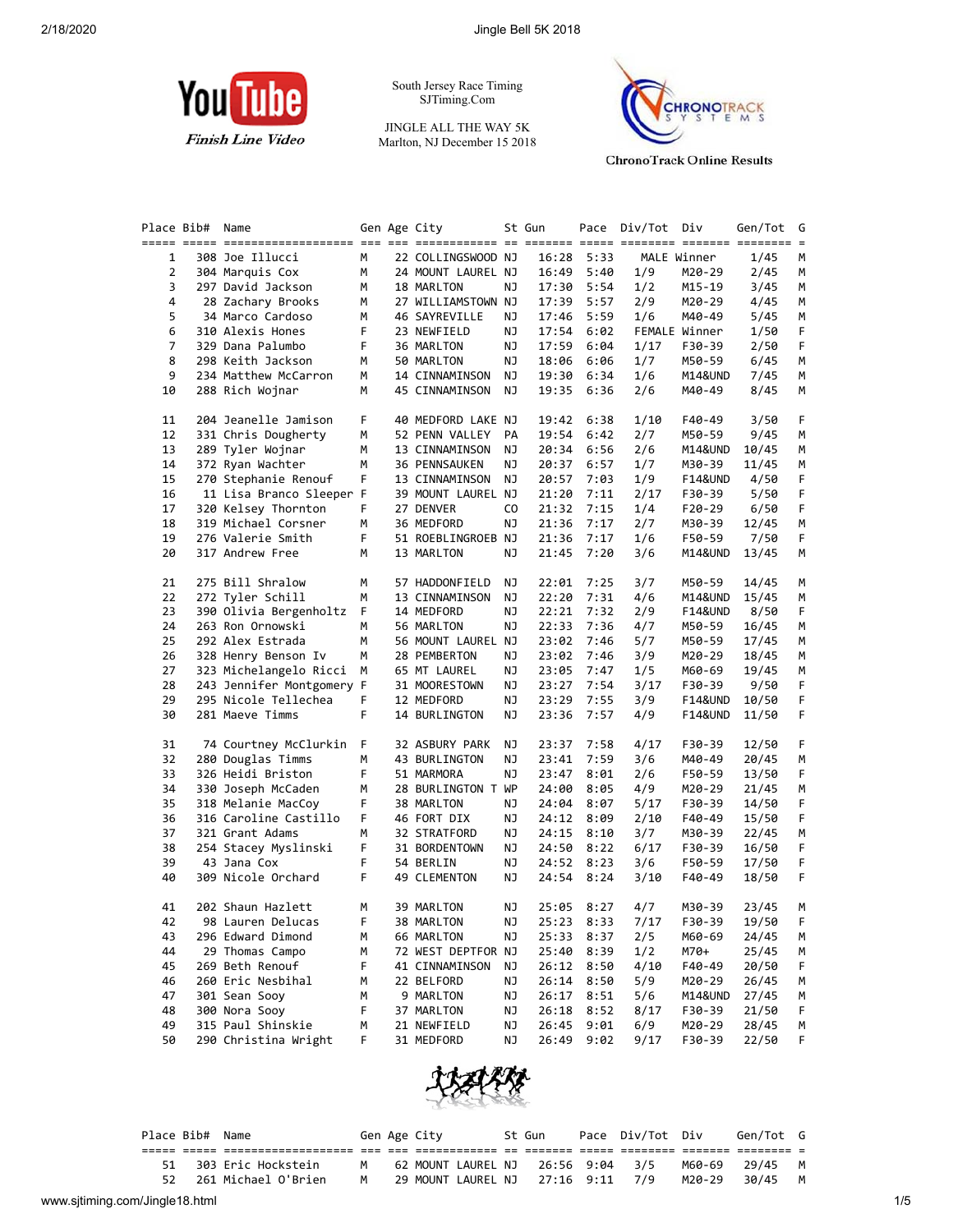

South Jersey Race Timing SJTiming.Com

JINGLE ALL THE WAY 5K Marlton, NJ December 15 2018



**ChronoTrack Online Results** 

| Place Bib# | Name                                    |         | Gen Age City                |          | St Gun         |              | Pace Div/Tot | Div                | Gen/Tot        | G      |
|------------|-----------------------------------------|---------|-----------------------------|----------|----------------|--------------|--------------|--------------------|----------------|--------|
|            |                                         |         |                             |          |                |              |              |                    |                |        |
| 1          | 308 Joe Illucci                         | М       | 22 COLLINGSWOOD NJ          |          | 16:28          | 5:33         |              | MALE Winner        | 1/45           | М      |
| 2          | 304 Marquis Cox                         | М       | 24 MOUNT LAUREL NJ          |          | 16:49          | 5:40         | 1/9          | M20-29             | 2/45           | М      |
| 3          | 297 David Jackson                       | М       | 18 MARLTON                  | ΝJ       | 17:30          | 5:54         | 1/2          | M15-19             | 3/45           | М      |
| 4          | 28 Zachary Brooks                       | М       | 27 WILLIAMSTOWN NJ          |          | 17:39          | 5:57         | 2/9          | M20-29             | 4/45           | М      |
| 5          | 34 Marco Cardoso                        | М       | 46 SAYREVILLE               | ΝJ       | 17:46          | 5:59         | 1/6          | M40-49             | 5/45           | М      |
| 6          | 310 Alexis Hones                        | F       | 23 NEWFIELD                 | ΝJ       | 17:54          | 6:02         |              | FEMALE Winner      | 1/50           | F      |
| 7          | 329 Dana Palumbo                        | F       | 36 MARLTON                  | ΝJ       | 17:59          | 6:04         | 1/17         | F30-39             | 2/50           | F      |
| 8          | 298 Keith Jackson                       | м       | 50 MARLTON                  | ΝJ       | 18:06          | 6:06         | 1/7          | M50-59             | 6/45           | м      |
| 9          | 234 Matthew McCarron                    | М       | 14 CINNAMINSON              | ΝJ       | 19:30          | 6:34         | 1/6          | M14&UND            | 7/45           | М      |
| 10         | 288 Rich Wojnar                         | М       | 45 CINNAMINSON              | ΝJ       | 19:35          | 6:36         | 2/6          | M40-49             | 8/45           | М      |
| 11         | 204 Jeanelle Jamison                    | F.      | 40 MEDFORD LAKE NJ          |          | 19:42          | 6:38         | 1/10         | F40-49             | 3/50           | F      |
| 12         | 331 Chris Dougherty                     | м       | 52 PENN VALLEY              | PA       | 19:54          | 6:42         | 2/7          | M50-59             | 9/45           | м      |
| 13         | 289 Tyler Wojnar                        | м       | 13 CINNAMINSON              | ΝJ       | 20:34          | 6:56         | 2/6          | M14&UND            | 10/45          | м      |
| 14         | 372 Ryan Wachter                        | М       | 36 PENNSAUKEN               | ΝJ       | 20:37          | 6:57         | 1/7          | M30-39             | 11/45          | М      |
| 15         | 270 Stephanie Renouf                    | F.      | 13 CINNAMINSON              | ΝJ       | 20:57          | 7:03         | 1/9          | F14&UND            | 4/50           | F      |
| 16         | 11 Lisa Branco Sleeper F                |         | 39 MOUNT LAUREL NJ          |          | 21:20          | 7:11         | 2/17         | F30-39             | 5/50           | F      |
| 17         | 320 Kelsey Thornton                     | F.      | 27 DENVER                   | CO.      | 21:32          | 7:15         | 1/4          | $F20-29$           | 6/50           | F      |
| 18         | 319 Michael Corsner                     | м       | 36 MEDFORD                  | ΝJ       | 21:36          | 7:17         | 2/7          | M30-39             | 12/45          | м      |
| 19         | 276 Valerie Smith                       | F       | 51 ROEBLINGROEB NJ          |          | 21:36          | 7:17         | 1/6          | F50-59             | 7/50           | F      |
| 20         | 317 Andrew Free                         | М       | 13 MARLTON                  | ΝJ       | 21:45          | 7:20         | 3/6          | M14&UND            | 13/45          | М      |
| 21         | 275 Bill Shralow                        | М       | 57 HADDONFIELD              | ΝJ       | 22:01          | 7:25         | 3/7          | M50-59             | 14/45          | м      |
| 22         | 272 Tyler Schill                        | М       | 13 CINNAMINSON              | ΝJ       | 22:20          | 7:31         | 4/6          | M14&UND            | 15/45          | м      |
| 23         | 390 Olivia Bergenholtz                  | F       | 14 MEDFORD                  | ΝJ       | 22:21          | 7:32         | 2/9          | <b>F14&amp;UND</b> | 8/50           | F.     |
| 24         | 263 Ron Ornowski                        | м       | 56 MARLTON                  | ΝJ       | 22:33          | 7:36         | 4/7          | M50-59             | 16/45          | М      |
| 25         | 292 Alex Estrada                        | М       | 56 MOUNT LAUREL NJ          |          | 23:02          | 7:46         | 5/7          | M50-59             |                | М      |
| 26         |                                         | м       |                             |          |                | 7:46         |              |                    | 17/45<br>18/45 |        |
|            | 328 Henry Benson Iv                     |         | 28 PEMBERTON                | ΝJ       | 23:02          | 7:47         | 3/9          | M20-29             |                | М      |
| 27         | 323 Michelangelo Ricci                  | м       | 65 MT LAUREL                | ΝJ       | 23:05          |              | 1/5          | M60-69             | 19/45          | М      |
| 28         | 243 Jennifer Montgomery F               |         | 31 MOORESTOWN               | ΝJ       | 23:27          | 7:54         | 3/17         | F30-39             | 9/50           | F      |
| 29<br>30   | 295 Nicole Tellechea<br>281 Maeve Timms | F.<br>F | 12 MEDFORD<br>14 BURLINGTON | ΝJ<br>ΝJ | 23:29<br>23:36 | 7:55<br>7:57 | 3/9<br>4/9   | F14&UND<br>F14&UND | 10/50<br>11/50 | F<br>F |
|            |                                         |         |                             |          |                |              |              |                    |                |        |
| 31         | 74 Courtney McClurkin                   | F       | 32 ASBURY PARK              | ΝJ       | 23:37          | 7:58         | 4/17         | F30-39             | 12/50          | F.     |
| 32         | 280 Douglas Timms                       | м       | 43 BURLINGTON               | ΝJ       | 23:41          | 7:59         | 3/6          | M40-49             | 20/45          | м      |
| 33         | 326 Heidi Briston                       | F       | 51 MARMORA                  | ΝJ       | 23:47          | 8:01         | 2/6          | F50-59             | 13/50          | F.     |
| 34         | 330 Joseph McCaden                      | М       | 28 BURLINGTON T WP          |          | 24:00          | 8:05         | 4/9          | M20-29             | 21/45          | М      |
| 35         | 318 Melanie MacCoy                      | F       | 38 MARLTON                  | ΝJ       | 24:04          | 8:07         | 5/17         | F30-39             | 14/50          | F      |
| 36         | 316 Caroline Castillo                   | F       | 46 FORT DIX                 | ΝJ       | 24:12          | 8:09         | 2/10         | F40-49             | 15/50          | F      |
| 37         | 321 Grant Adams                         | м       | 32 STRATFORD                | ΝJ       | 24:15          | 8:10         | 3/7          | M30-39             | 22/45          | М      |
| 38         | 254 Stacey Myslinski                    | F       | 31 BORDENTOWN               | ΝJ       | 24:50          | 8:22         | 6/17         | F30-39             | 16/50          | F      |
| 39         | 43 Jana Cox                             | F       | 54 BERLIN                   | ΝJ       | 24:52          | 8:23         | 3/6          | F50-59             | 17/50          | F      |
| 40         | 309 Nicole Orchard                      | F       | 49 CLEMENTON                | ΝJ       | 24:54          | 8:24         | 3/10         | F40-49             | 18/50          | F      |
| 41         | 202 Shaun Hazlett                       | M       | 39 MARLTON                  | ΝJ       |                | 25:05 8:27   | 4/7          | M30-39             | 23/45          | м      |
| 42         | 98 Lauren Delucas                       | F       | 38 MARLTON                  | NJ       |                | 25:23 8:33   | 7/17         | F30-39             | 19/50          | F      |
| 43         | 296 Edward Dimond                       | м       | 66 MARLTON                  | ΝJ       |                | 25:33 8:37   | 2/5          | M60-69             | 24/45          | м      |
| 44         | 29 Thomas Campo                         | м       | 72 WEST DEPTFOR NJ          |          | 25:40          | 8:39         | 1/2          | M70+               | 25/45          | м      |
| 45         | 269 Beth Renouf                         | F       | 41 CINNAMINSON              | ΝJ       | 26:12          | 8:50         | 4/10         | F40-49             | 20/50          | F      |
| 46         | 260 Eric Nesbihal                       | м       | 22 BELFORD                  | ΝJ       | 26:14          | 8:50         | 5/9          | M20-29             | 26/45          | м      |
| 47         | 301 Sean Sooy                           | м       | 9 MARLTON                   | ΝJ       | 26:17          | 8:51         | 5/6          | M14&UND            | 27/45          | M      |
| 48         | 300 Nora Sooy                           | F       | 37 MARLTON                  | ΝJ       | 26:18          | 8:52         | 8/17         | F30-39             | 21/50          | F      |
| 49         | 315 Paul Shinskie                       | м       | 21 NEWFIELD                 | ΝJ       | 26:45          | 9:01         | 6/9          | M20-29             | 28/45          | M      |
| 50         | 290 Christina Wright                    | F.      | 31 MEDFORD                  | ΝJ       | 26:49          | 9:02         | 9/17         | F30-39             | 22/50          | F.     |
|            |                                         |         |                             |          |                |              |              |                    |                |        |



| Place Bib# Name |                        |   | Gen Age City |  | St Gun | Pace Div/Tot Div                         |        | Gen/Tot G      |  |
|-----------------|------------------------|---|--------------|--|--------|------------------------------------------|--------|----------------|--|
|                 |                        |   |              |  |        |                                          |        |                |  |
|                 | 51 303 Eric Hockstein  | M |              |  |        | 62 MOUNT LAUREL NJ   26:56  9:04   3/5   |        | M60-69 29/45 M |  |
|                 | 52 261 Michael O'Brien | M |              |  |        | 29 MOUNT LAUREL NJ   27:16   9:11    7/9 | M20-29 | 30/45 M        |  |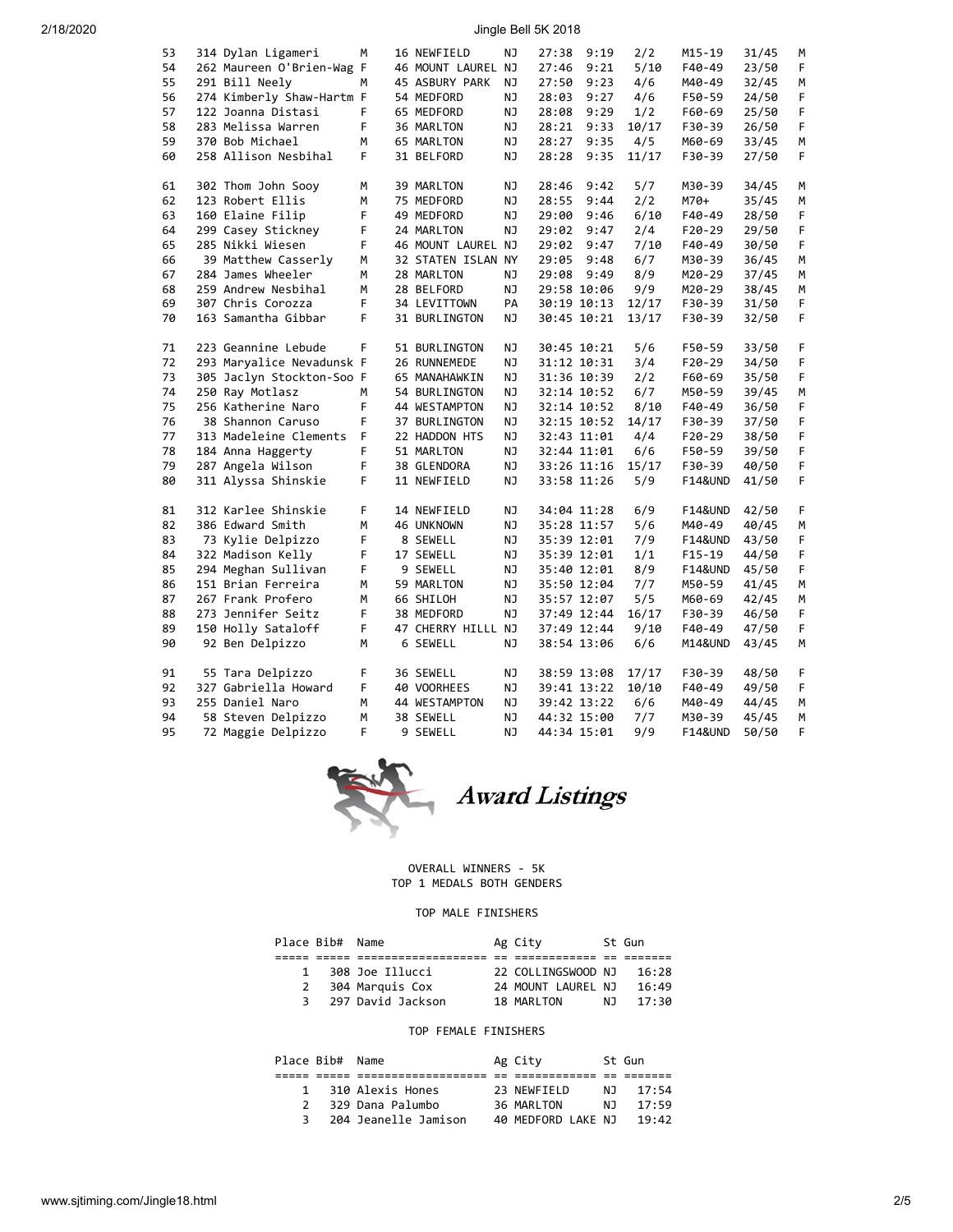# 2/18/2020 Jingle Bell 5K 2018

| 53 | 314 Dylan Ligameri        | м  | 16 NEWFIELD        | ΝJ  | 27:38       | 9:19        | 2/2   | M15-19             | 31/45 | м |
|----|---------------------------|----|--------------------|-----|-------------|-------------|-------|--------------------|-------|---|
| 54 | 262 Maureen O'Brien-Wag F |    | 46 MOUNT LAUREL NJ |     | 27:46       | 9:21        | 5/10  | F40-49             | 23/50 | F |
| 55 | 291 Bill Neely            | м  | 45 ASBURY PARK     | ΝJ  | 27:50       | 9:23        | 4/6   | M40-49             | 32/45 | M |
| 56 | 274 Kimberly Shaw-Hartm F |    | 54 MEDFORD         | ΝJ  | 28:03       | 9:27        | 4/6   | F50-59             | 24/50 | F |
| 57 | 122 Joanna Distasi        | F  | 65 MEDFORD         | NJ  | 28:08       | 9:29        | 1/2   | F60-69             | 25/50 | F |
| 58 | 283 Melissa Warren        | F  | 36 MARLTON         | ΝJ  | 28:21       | 9:33        | 10/17 | F30-39             | 26/50 | F |
| 59 | 370 Bob Michael           | М  | 65 MARLTON         | ΝJ  | 28:27       | 9:35        | 4/5   | M60-69             | 33/45 | М |
| 60 | 258 Allison Nesbihal      | F  | 31 BELFORD         | NJ  | 28:28       | 9:35        | 11/17 | F30-39             | 27/50 | F |
|    |                           |    |                    |     |             |             |       |                    |       |   |
| 61 | 302 Thom John Sooy        | M  | 39 MARLTON         | NJ  | 28:46       | 9:42        | 5/7   | M30-39             | 34/45 | M |
| 62 | 123 Robert Ellis          | М  | 75 MEDFORD         | NJ  | 28:55       | 9:44        | 2/2   | M70+               | 35/45 | М |
| 63 | 160 Elaine Filip          | F  | 49 MEDFORD         | ΝJ  | 29:00       | 9:46        | 6/10  | F40-49             | 28/50 | F |
| 64 | 299 Casey Stickney        | F  | 24 MARLTON         | ΝJ  | 29:02       | 9:47        | 2/4   | $F20-29$           | 29/50 | F |
| 65 | 285 Nikki Wiesen          | F  | 46 MOUNT LAUREL NJ |     | 29:02       | 9:47        | 7/10  | F40-49             | 30/50 | F |
| 66 | 39 Matthew Casserly       | M  | 32 STATEN ISLAN NY |     | 29:05       | 9:48        | 6/7   | M30-39             | 36/45 | M |
| 67 | 284 James Wheeler         | М  |                    | NJ  |             | 9:49        | 8/9   |                    |       | М |
|    |                           |    | 28 MARLTON         |     | 29:08       |             |       | M20-29             | 37/45 |   |
| 68 | 259 Andrew Nesbihal       | М  | 28 BELFORD         | ΝJ  |             | 29:58 10:06 | 9/9   | M20-29             | 38/45 | M |
| 69 | 307 Chris Corozza         | F  | 34 LEVITTOWN       | PA  |             | 30:19 10:13 | 12/17 | F30-39             | 31/50 | F |
| 70 | 163 Samantha Gibbar       | F  | 31 BURLINGTON      | ΝJ  |             | 30:45 10:21 | 13/17 | F30-39             | 32/50 | F |
| 71 | 223 Geannine Lebude       | F  |                    | NJ. |             |             | 5/6   |                    |       | F |
| 72 |                           |    | 51 BURLINGTON      |     |             | 30:45 10:21 |       | F50-59             | 33/50 |   |
|    | 293 Maryalice Nevadunsk F |    | 26 RUNNEMEDE       | ΝJ  |             | 31:12 10:31 | 3/4   | F20-29             | 34/50 | F |
| 73 | 305 Jaclyn Stockton-Soo F |    | 65 MANAHAWKIN      | ΝJ  |             | 31:36 10:39 | 2/2   | F60-69             | 35/50 | F |
| 74 | 250 Ray Motlasz           | M  | 54 BURLINGTON      | ΝJ  |             | 32:14 10:52 | 6/7   | M50-59             | 39/45 | M |
| 75 | 256 Katherine Naro        | F  | 44 WESTAMPTON      | ΝJ  |             | 32:14 10:52 | 8/10  | F40-49             | 36/50 | F |
| 76 | 38 Shannon Caruso         | F  | 37 BURLINGTON      | NJ  |             | 32:15 10:52 | 14/17 | F30-39             | 37/50 | F |
| 77 | 313 Madeleine Clements    | F  | 22 HADDON HTS      | ΝJ  |             | 32:43 11:01 | 4/4   | $F20-29$           | 38/50 | F |
| 78 | 184 Anna Haggerty         | F  | 51 MARLTON         | ΝJ  |             | 32:44 11:01 | 6/6   | F50-59             | 39/50 | F |
| 79 | 287 Angela Wilson         | F  | 38 GLENDORA        | ΝJ  |             | 33:26 11:16 | 15/17 | F30-39             | 40/50 | F |
| 80 | 311 Alyssa Shinskie       | F. | 11 NEWFIELD        | NJ  |             | 33:58 11:26 | 5/9   | <b>F14&amp;UND</b> | 41/50 | F |
|    |                           |    |                    |     |             |             |       |                    |       |   |
| 81 | 312 Karlee Shinskie       | F  | 14 NEWFIELD        | NJ  |             | 34:04 11:28 | 6/9   | <b>F14&amp;UND</b> | 42/50 | F |
| 82 | 386 Edward Smith          | M  | 46 UNKNOWN         | ΝJ  |             | 35:28 11:57 | 5/6   | M40-49             | 40/45 | М |
| 83 | 73 Kylie Delpizzo         | F  | 8 SEWELL           | ΝJ  |             | 35:39 12:01 | 7/9   | <b>F14&amp;UND</b> | 43/50 | F |
| 84 | 322 Madison Kelly         | F  | 17 SEWELL          | ΝJ  |             | 35:39 12:01 | 1/1   | $F15-19$           | 44/50 | F |
| 85 | 294 Meghan Sullivan       | F  | 9 SEWELL           | ΝJ  |             | 35:40 12:01 | 8/9   | <b>F14&amp;UND</b> | 45/50 | F |
| 86 | 151 Brian Ferreira        | M  | 59 MARLTON         | NJ  |             | 35:50 12:04 | 7/7   | M50-59             | 41/45 | М |
| 87 | 267 Frank Profero         | М  | 66 SHILOH          | ΝJ  |             | 35:57 12:07 | 5/5   | M60-69             | 42/45 | M |
| 88 | 273 Jennifer Seitz        | F  | 38 MEDFORD         | ΝJ  |             | 37:49 12:44 | 16/17 | F30-39             | 46/50 | F |
| 89 | 150 Holly Sataloff        | F  | 47 CHERRY HILLL NJ |     |             | 37:49 12:44 | 9/10  | F40-49             | 47/50 | F |
| 90 | 92 Ben Delpizzo           | М  | 6 SEWELL           | NJ. |             | 38:54 13:06 | 6/6   | M14&UND            | 43/45 | M |
|    |                           |    |                    |     |             |             |       |                    |       |   |
| 91 | 55 Tara Delpizzo          | F  | 36 SEWELL          | ΝJ  |             | 38:59 13:08 | 17/17 | F30-39             | 48/50 | F |
| 92 | 327 Gabriella Howard      | F  | 40 VOORHEES        | ΝJ  |             | 39:41 13:22 | 10/10 | F40-49             | 49/50 | F |
| 93 | 255 Daniel Naro           | М  | 44 WESTAMPTON      | ΝJ  |             | 39:42 13:22 | 6/6   | M40-49             | 44/45 | M |
| 94 | 58 Steven Delpizzo        | M  | 38 SEWELL          | ΝJ  | 44:32 15:00 |             | 7/7   | M30-39             | 45/45 | M |
| 95 | 72 Maggie Delpizzo        | F  | 9 SEWELL           | NJ  | 44:34 15:01 |             | 9/9   | <b>F14&amp;UND</b> | 50/50 | F |
|    |                           |    |                    |     |             |             |       |                    |       |   |



# OVERALL WINNERS - 5K

TOP 1 MEDALS BOTH GENDERS

#### TOP MALE FINISHERS

|   | Place Bib# Name |                   | Ag City            |    | St Gun |
|---|-----------------|-------------------|--------------------|----|--------|
|   |                 |                   |                    |    |        |
| 1 |                 | 308 Joe Illucci   | 22 COLLINGSWOOD NJ |    | 16:28  |
| 2 |                 | 304 Marquis Cox   | 24 MOUNT LAUREL NJ |    | 16:49  |
| 3 |                 | 297 David Jackson | 18 MARLTON         | N٦ | 17:30  |

#### TOP FEMALE FINISHERS

| Place Bib# Name |                      | Ag City            |     | St Gun |
|-----------------|----------------------|--------------------|-----|--------|
|                 |                      |                    |     |        |
| 1               | 310 Alexis Hones     | 23 NEWFIELD        | NJ. | 17:54  |
| $\mathcal{P}$   | 329 Dana Palumbo     | 36 MARLTON         | NJ. | 17:59  |
| 3               | 204 Jeanelle Jamison | 40 MEDFORD LAKE NJ |     | 19:42  |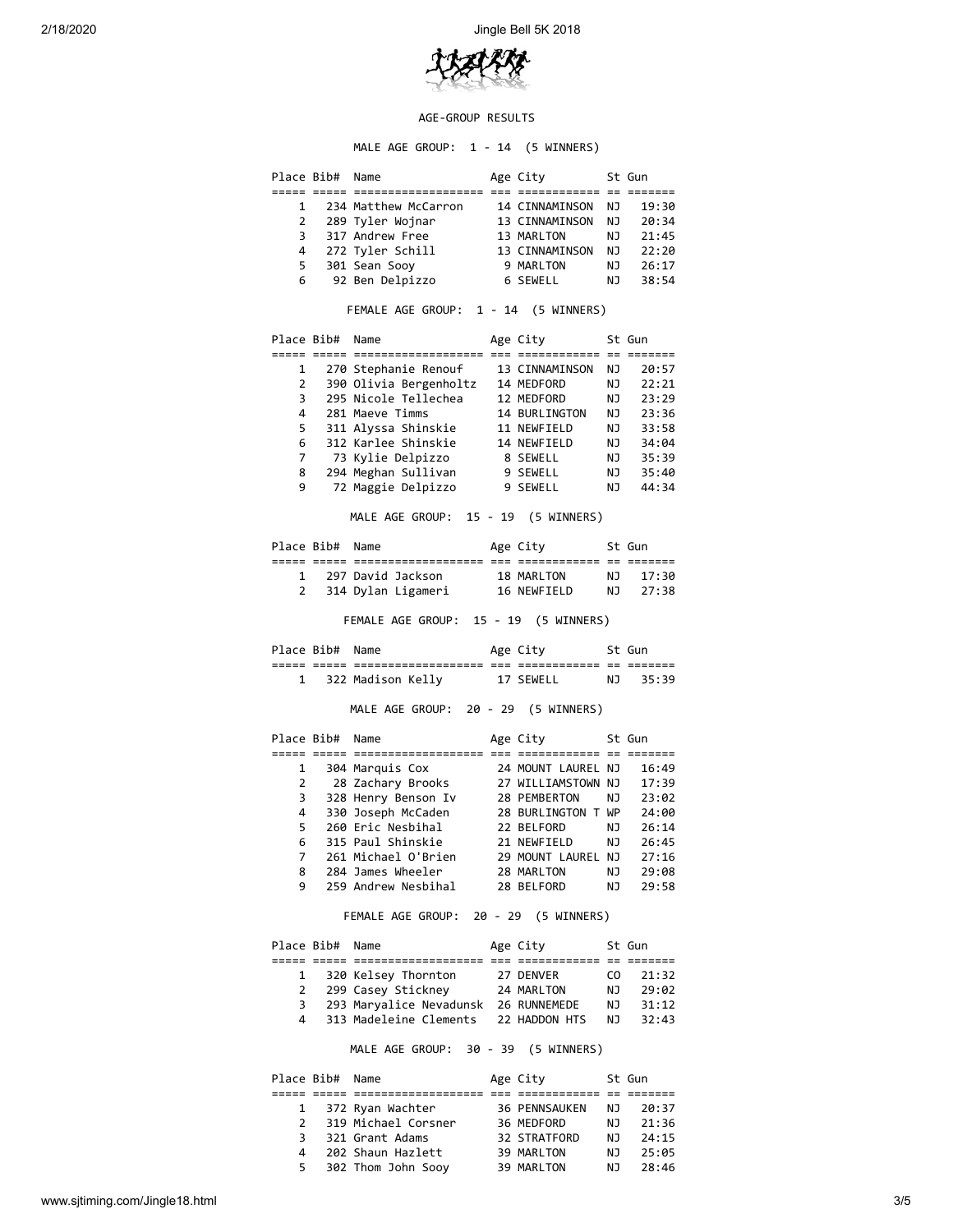

#### AGE-GROUP RESULTS

MALE AGE GROUP: 1 - 14 (5 WINNERS)

|              | Place Bib# Name |                                                             | Age City                         |           | St Gun               |
|--------------|-----------------|-------------------------------------------------------------|----------------------------------|-----------|----------------------|
| 1            |                 | 234 Matthew McCarron 14 CINNAMINSON                         |                                  | NJ 1      | 19:30                |
| 2            |                 |                                                             |                                  |           |                      |
| 3            |                 |                                                             |                                  |           |                      |
|              |                 | 4 272 Tyler Schill 13 CINNAMINSON NJ 22:20                  |                                  |           |                      |
| 5.           |                 | 301 Sean Sooy                                               | 9 MARLTON                        |           | NJ 26:17             |
| 6            |                 | دست<br>92 Ben Delpizzo                                      | 6 SEWELL                         | NJ        | 38:54                |
|              |                 | FEMALE AGE GROUP: 1 - 14 (5 WINNERS)                        |                                  |           |                      |
|              | Place Bib# Name |                                                             | Age City 5t Gun                  |           |                      |
|              |                 |                                                             |                                  |           |                      |
| $\mathbf{1}$ |                 | September 2006<br>390 Olivia Bergenholtz<br>295 Nicolo Isli | 13 CINNAMINSON NJ                |           | 20:57                |
| $\mathbf{2}$ |                 |                                                             | 14 MEDFORD                       |           | NJ 22:21             |
| 3            |                 | 295 Nicole Tellechea                                        | 12 MEDFORD                       |           | NJ 23:29<br>NJ 23:36 |
| 4            |                 | 281 Maeve Timms                                             | 14 BURLINGTON                    |           |                      |
| 5.           |                 | 311 Alyssa Shinskie                                         | 11 NEWFIELD                      |           | NJ 33:58             |
| 6            |                 | 312 Karlee Shinskie                                         | 14 NEWFIELD<br>8 SEWELL          | NJ        | 34:04                |
| 7            |                 | 73 Kylie Delpizzo                                           |                                  |           | NJ 35:39             |
| 8            |                 | 294 Meghan Sullivan                                         | 9 SEWELL                         | <b>NJ</b> | 35:40                |
| 9            |                 | 72 Maggie Delpizzo                                          | 9 SEWELL                         | NJ        | 44:34                |
|              |                 | MALE AGE GROUP: 15 - 19 (5 WINNERS)                         |                                  |           |                      |
|              | Place Bib# Name |                                                             | Age City 5t Gun                  |           |                      |
|              |                 | 1 297 David Jackson                                         | 18 MARLTON                       |           | NJ 17:30             |
| $\mathbf{2}$ |                 | 314 Dylan Ligameri                                          |                                  |           |                      |
|              |                 | FEMALE AGE GROUP: 15 - 19 (5 WINNERS)                       |                                  |           |                      |
|              | Place Bib# Name |                                                             | Age City                         |           | St Gun               |
|              |                 | 1 322 Madison Kelly 17 SEWELL NJ 35:39                      |                                  |           |                      |
|              |                 | MALE AGE GROUP: 20 - 29 (5 WINNERS)                         |                                  |           |                      |
|              | Place Bib# Name |                                                             | Age City<br>St Gun               |           |                      |
|              | $\mathbf{1}$    | 304 Marquis Cox                                             | 24 MOUNT LAUREL NJ               |           | 16:49                |
| 2            |                 | 28 Zachary Brooks 27 WILLIAMSTOWN NJ                        |                                  |           | 17:39                |
|              |                 |                                                             | 28 PEMBERTON                     |           | NJ 23:02             |
|              |                 | 3 328 Henry Benson Iv<br>4 330 Joseph McCaden               | 28 BURLINGTON T WP 24:00         |           |                      |
| 5.           |                 | 260 Eric Nesbihal                                           | 22 BELFORD                       |           |                      |
| 6            |                 | 315 Paul Shinskie                                           | 21 NEWFIELD                      |           | NJ 26:14<br>NJ 26:45 |
| 7            |                 |                                                             |                                  |           |                      |
|              |                 | 261 Michael O'Brien<br>284 James Wheeler                    | 29 MOUNT LAUREL NJ<br>28 MARLTON | ΝJ        | 27:16                |
| 8<br>9       |                 | 259 Andrew Nesbihal                                         | 28 BELFORD                       | ΝJ        | 29:08<br>29:58       |
|              |                 | FEMALE AGE GROUP: 20 - 29 (5 WINNERS)                       |                                  |           |                      |
|              | Place Bib#      | Name                                                        | Age City                         |           | St Gun               |
|              |                 |                                                             | ========= == =======             |           |                      |
| 1            |                 | 320 Kelsey Thornton                                         | 27 DENVER                        | CO.       | 21:32                |
| $\mathbf{2}$ |                 | 299 Casey Stickney                                          | 24 MARLTON                       | ΝJ        | 29:02                |

 4 313 Madeleine Clements 22 HADDON HTS NJ 32:43 MALE AGE GROUP: 30 - 39 (5 WINNERS)

3 293 Maryalice Nevadunsk 26 RUNNEMEDE NJ 31:12

|               | Place Bib# Name |                     | Age City             |     | St Gun |
|---------------|-----------------|---------------------|----------------------|-----|--------|
|               |                 |                     |                      |     |        |
| $\mathbf{1}$  |                 | 372 Ryan Wachter    | <b>36 PENNSAUKEN</b> | NJ. | 20:37  |
| $\mathcal{P}$ |                 | 319 Michael Corsner | 36 MEDFORD           | N J | 21:36  |
| 3             |                 | 321 Grant Adams     | 32 STRATFORD         | NJ. | 24:15  |
| 4             |                 | 202 Shaun Hazlett   | 39 MARLTON           | NJ. | 25:05  |
| 5.            |                 | 302 Thom John Sooy  | 39 MARLTON           | NJ. | 28:46  |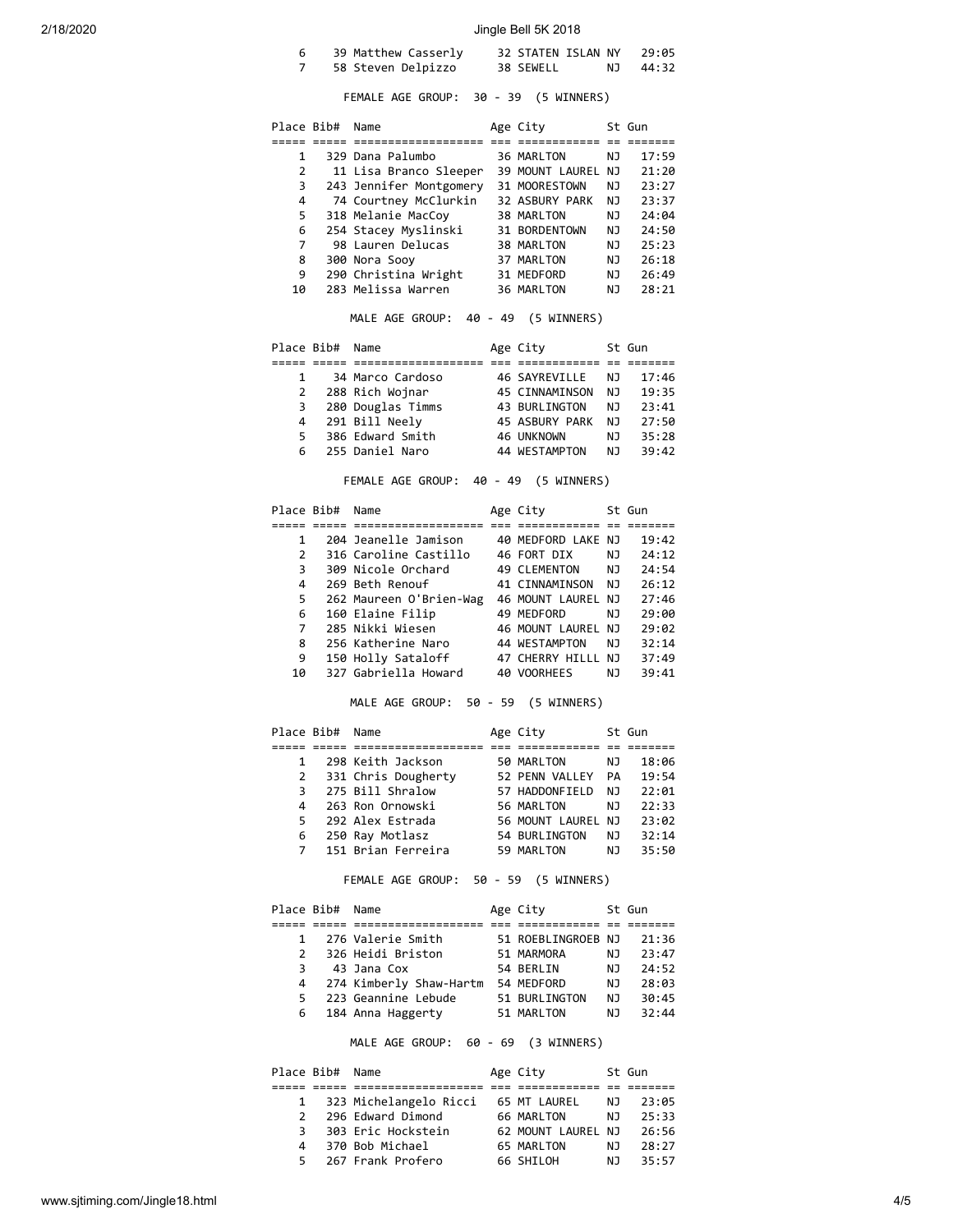# 2/18/2020 Jingle Bell 5K 2018

| 39 Matthew Casserly | 32 STATEN ISLAN NY | 29:05    |
|---------------------|--------------------|----------|
| 58 Steven Delpizzo  | 38 SEWELL          | NJ 44:32 |

#### FEMALE AGE GROUP: 30 - 39 (5 WINNERS)

| Place Bib# | Name                    | Age City        |     | St Gun |
|------------|-------------------------|-----------------|-----|--------|
|            |                         |                 |     |        |
| 1          | 329 Dana Palumbo        | 36 MARLTON      | ΝJ  | 17:59  |
| 2          | 11 Lisa Branco Sleeper  | 39 MOUNT LAUREL | NJ. | 21:20  |
| 3          | 243 Jennifer Montgomery | 31 MOORESTOWN   | ΝJ  | 23:27  |
| 4          | 74 Courtney McClurkin   | 32 ASBURY PARK  | ΝJ  | 23:37  |
| 5          | 318 Melanie MacCoy      | 38 MARLTON      | ΝJ  | 24:04  |
| 6          | 254 Stacey Myslinski    | 31 BORDENTOWN   | ΝJ  | 24:50  |
| 7          | 98 Lauren Delucas       | 38 MARLTON      | ΝJ  | 25:23  |
| 8          | 300 Nora Sooy           | 37 MARLTON      | ΝJ  | 26:18  |
| 9          | 290 Christina Wright    | 31 MEDFORD      | ΝJ  | 26:49  |
| 10         | 283 Melissa Warren      | 36 MARLTON      | ΝJ  | 28:21  |

#### MALE AGE GROUP: 40 - 49 (5 WINNERS)

|              | Place Bib# Name |                   | Age City             |     | St Gun |
|--------------|-----------------|-------------------|----------------------|-----|--------|
|              |                 |                   |                      |     |        |
| 1            |                 | 34 Marco Cardoso  | 46 SAYREVILLE        | NJ. | 17:46  |
| $\mathbf{2}$ |                 | 288 Rich Wojnar   | 45 CINNAMINSON       | NJ. | 19:35  |
| 3            |                 | 280 Douglas Timms | <b>43 BURLINGTON</b> | NJ. | 23:41  |
| 4            |                 | 291 Bill Neely    | 45 ASBURY PARK       | NJ. | 27:50  |
| 5.           |                 | 386 Edward Smith  | 46 UNKNOWN           | NJ. | 35:28  |
| 6.           |                 | 255 Daniel Naro   | 44 WESTAMPTON        | NJ. | 39:42  |

FEMALE AGE GROUP: 40 - 49 (5 WINNERS)

| Place Bib#    | Name                    | Age City           |     | St Gun |
|---------------|-------------------------|--------------------|-----|--------|
|               |                         |                    |     |        |
| 1             | 204 Jeanelle Jamison    | 40 MEDFORD LAKE NJ |     | 19:42  |
| $\mathcal{P}$ | 316 Caroline Castillo   | 46 FORT DIX        | NJ. | 24:12  |
| 3             | 309 Nicole Orchard      | 49 CLEMENTON       | NJ. | 24:54  |
| 4             | 269 Beth Renouf         | 41 CINNAMINSON     | NJ. | 26:12  |
| 5.            | 262 Maureen O'Brien-Wag | 46 MOUNT LAUREL NJ |     | 27:46  |
| 6             | 160 Elaine Filip        | 49 MEDFORD         | NJ. | 29:00  |
| 7             | 285 Nikki Wiesen        | 46 MOUNT LAUREL    | NJ  | 29:02  |
| 8             | 256 Katherine Naro      | 44 WESTAMPTON      | NJ. | 32:14  |
| 9             | 150 Holly Sataloff      | 47 CHERRY HILLL    | NJ. | 37:49  |
| 10            | 327 Gabriella Howard    | 40 VOORHEES        | NJ  | 39:41  |

#### MALE AGE GROUP: 50 - 59 (5 WINNERS)

|    | Place Bib# Name |                     | Age City        |     | St Gun |
|----|-----------------|---------------------|-----------------|-----|--------|
|    |                 |                     |                 |     |        |
| 1  |                 | 298 Keith Jackson   | 50 MARLTON      | NJ. | 18:06  |
| 2  |                 | 331 Chris Dougherty | 52 PENN VALLEY  | PA  | 19:54  |
| 3  |                 | 275 Bill Shralow    | 57 HADDONFIELD  | NJ. | 22:01  |
| 4  |                 | 263 Ron Ornowski    | 56 MARLTON      | NJ  | 22:33  |
| 5. |                 | 292 Alex Estrada    | 56 MOUNT LAUREL | NJ  | 23:02  |
| 6  |                 | 250 Ray Motlasz     | 54 BURLINGTON   | NJ. | 32:14  |
| 7  |                 | 151 Brian Ferreira  | 59 MARLTON      | NJ  | 35:50  |

# FEMALE AGE GROUP: 50 - 59 (5 WINNERS)

|               | Place Bib# Name |                         | Age City           |     | St Gun |
|---------------|-----------------|-------------------------|--------------------|-----|--------|
|               |                 |                         |                    |     |        |
| $\mathbf{1}$  |                 | 276 Valerie Smith       | 51 ROEBLINGROEB NJ |     | 21:36  |
| $\mathcal{P}$ |                 | 326 Heidi Briston       | 51 MARMORA         | NJ  | 23:47  |
| 3             |                 | 43 Jana Cox             | 54 BERLIN          | NJ  | 24:52  |
| 4             |                 | 274 Kimberly Shaw-Hartm | 54 MEDFORD         | NJ. | 28:03  |
| 5             |                 | 223 Geannine Lebude     | 51 BURLINGTON      | NJ. | 30:45  |
| 6             |                 | 184 Anna Haggerty       | 51 MARLTON         | NJ. | 32:44  |

MALE AGE GROUP: 60 - 69 (3 WINNERS)

|                | Place Bib# Name |                        | Age City           |     | St Gun |
|----------------|-----------------|------------------------|--------------------|-----|--------|
|                |                 |                        |                    |     |        |
| $\mathbf{1}$   |                 | 323 Michelangelo Ricci | 65 MT LAUREL       | NJ. | 23:05  |
| $\overline{2}$ |                 | 296 Edward Dimond      | 66 MARLTON         | N J | 25:33  |
| 3              |                 | 303 Eric Hockstein     | 62 MOUNT LAUREL NJ |     | 26:56  |
| 4              |                 | 370 Bob Michael        | 65 MARLTON         | NJ. | 28:27  |
| 5              |                 | 267 Frank Profero      | 66 SHILOH          | N J | 35:57  |